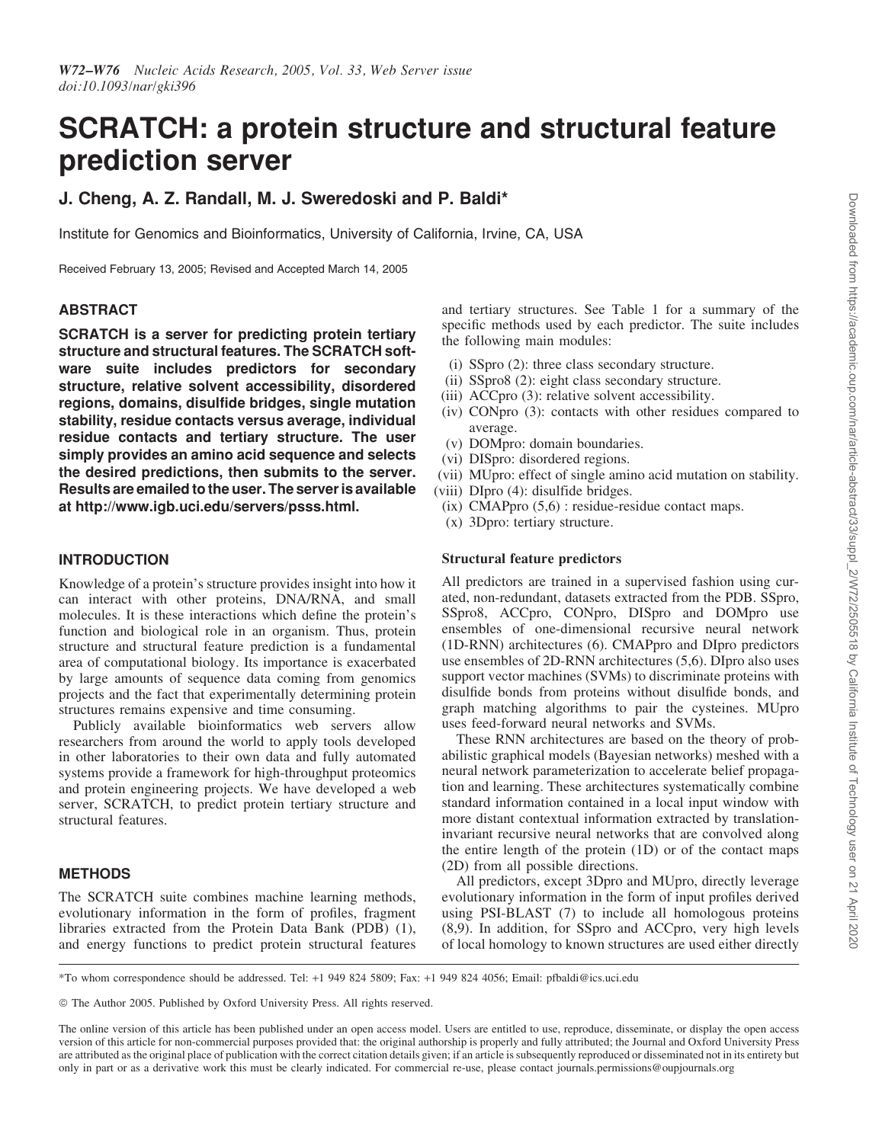# SCRATCH: a protein structure and structural feature prediction server

# J. Cheng, A. Z. Randall, M. J. Sweredoski and P. Baldi\*

Institute for Genomics and Bioinformatics, University of California, Irvine, CA, USA

Received February 13, 2005; Revised and Accepted March 14, 2005

# **ABSTRACT**

SCRATCH is a server for predicting protein tertiary structure and structural features. The SCRATCH software suite includes predictors for secondary structure, relative solvent accessibility, disordered regions, domains, disulfide bridges, single mutation stability, residue contacts versus average, individual residue contacts and tertiary structure. The user simply provides an amino acid sequence and selects the desired predictions, then submits to the server. Results are emailed to the user. The server is available at http://www.igb.uci.edu/servers/psss.html.

# INTRODUCTION

Knowledge of a protein's structure provides insight into how it can interact with other proteins, DNA/RNA, and small molecules. It is these interactions which define the protein's function and biological role in an organism. Thus, protein structure and structural feature prediction is a fundamental area of computational biology. Its importance is exacerbated by large amounts of sequence data coming from genomics projects and the fact that experimentally determining protein structures remains expensive and time consuming.

Publicly available bioinformatics web servers allow researchers from around the world to apply tools developed in other laboratories to their own data and fully automated systems provide a framework for high-throughput proteomics and protein engineering projects. We have developed a web server, SCRATCH, to predict protein tertiary structure and structural features.

# **METHODS**

The SCRATCH suite combines machine learning methods, evolutionary information in the form of profiles, fragment libraries extracted from the Protein Data Bank (PDB) (1), and energy functions to predict protein structural features and tertiary structures. See Table 1 for a summary of the specific methods used by each predictor. The suite includes the following main modules:

- (i) SSpro (2): three class secondary structure.
- (ii) SSpro8 (2): eight class secondary structure.
- (iii) ACCpro (3): relative solvent accessibility.
- (iv) CONpro (3): contacts with other residues compared to average.
- (v) DOMpro: domain boundaries.
- (vi) DISpro: disordered regions.
- (vii) MUpro: effect of single amino acid mutation on stability.
- (viii) DIpro (4): disulfide bridges.
- $(ix)$  CMAPpro  $(5,6)$ : residue-residue contact maps.
- (x) 3Dpro: tertiary structure.

#### Structural feature predictors

All predictors are trained in a supervised fashion using curated, non-redundant, datasets extracted from the PDB. SSpro, SSpro8, ACCpro, CONpro, DISpro and DOMpro use ensembles of one-dimensional recursive neural network (1D-RNN) architectures (6). CMAPpro and DIpro predictors use ensembles of 2D-RNN architectures (5,6). DIpro also uses support vector machines (SVMs) to discriminate proteins with disulfide bonds from proteins without disulfide bonds, and graph matching algorithms to pair the cysteines. MUpro uses feed-forward neural networks and SVMs.

These RNN architectures are based on the theory of probabilistic graphical models (Bayesian networks) meshed with a neural network parameterization to accelerate belief propagation and learning. These architectures systematically combine standard information contained in a local input window with more distant contextual information extracted by translationinvariant recursive neural networks that are convolved along the entire length of the protein (1D) or of the contact maps (2D) from all possible directions.

All predictors, except 3Dpro and MUpro, directly leverage evolutionary information in the form of input profiles derived using PSI-BLAST (7) to include all homologous proteins (8,9). In addition, for SSpro and ACCpro, very high levels of local homology to known structures are used either directly

\*To whom correspondence should be addressed. Tel: +1 949 824 5809; Fax: +1 949 824 4056; Email: pfbaldi@ics.uci.edu

© The Author 2005. Published by Oxford University Press. All rights reserved.

The online version of this article has been published under an open access model. Users are entitled to use, reproduce, disseminate, or display the open access version of this article for non-commercial purposes provided that: the original authorship is properly and fully attributed; the Journal and Oxford University Press are attributed as the original place of publication with the correct citation details given; if an article is subsequently reproduced or disseminated not in its entirety but only in part or as a derivative work this must be clearly indicated. For commercial re-use, please contact journals.permissions@oupjournals.org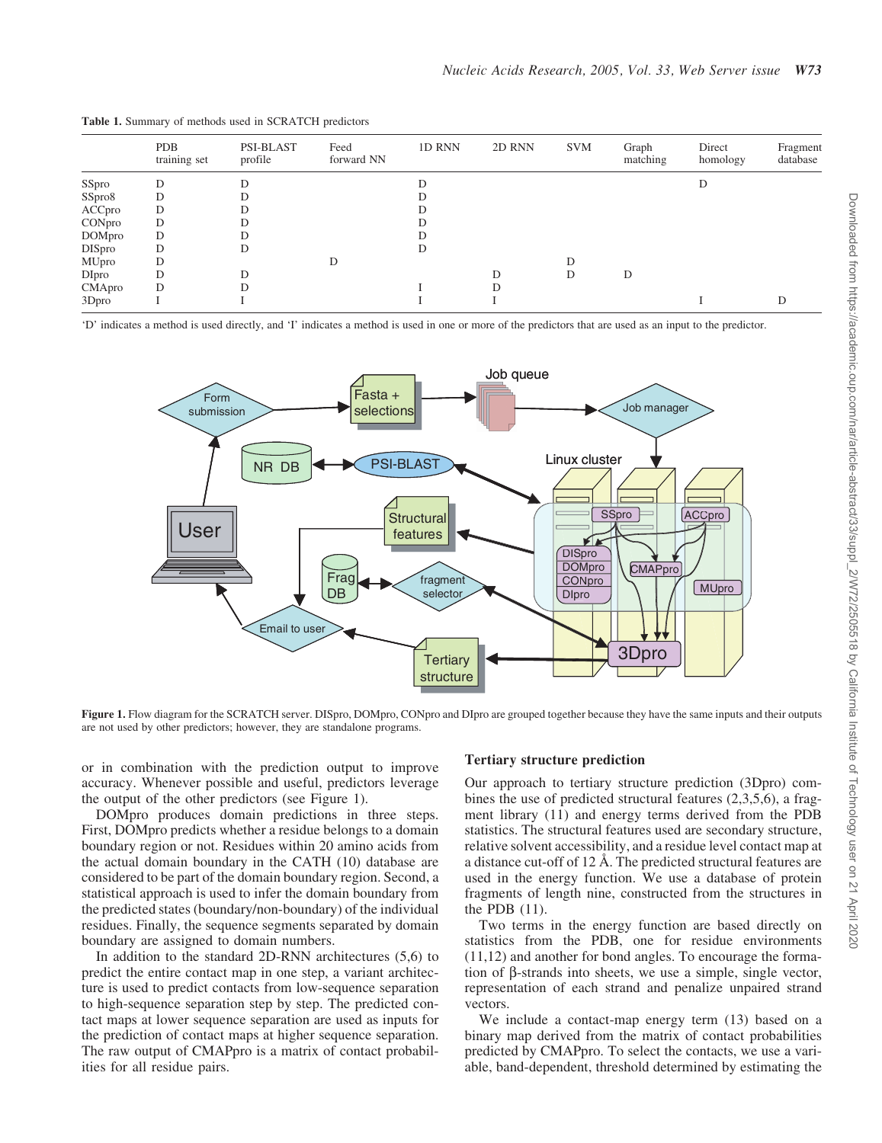|               | <b>PDB</b><br>training set | <b>PSI-BLAST</b><br>profile | Feed<br>forward NN | 1D RNN | 2D RNN | <b>SVM</b> | Graph<br>matching | Direct<br>homology | Fragment<br>database |
|---------------|----------------------------|-----------------------------|--------------------|--------|--------|------------|-------------------|--------------------|----------------------|
| SSpro         | D                          | D                           |                    | D      |        |            |                   | D                  |                      |
| SSpro8        | D                          | D                           |                    |        |        |            |                   |                    |                      |
| ACCpro        | D                          | D                           |                    |        |        |            |                   |                    |                      |
| CONpro        | D                          | D                           |                    | D      |        |            |                   |                    |                      |
| <b>DOMpro</b> | D                          | D                           |                    |        |        |            |                   |                    |                      |
| <b>DISpro</b> | D                          | D                           |                    | D      |        |            |                   |                    |                      |
| MUpro         | D                          |                             | D                  |        |        | D          |                   |                    |                      |
| <b>DIpro</b>  | D                          | D                           |                    |        |        | D          | D                 |                    |                      |
| CMApro        | D                          | D                           |                    |        | D      |            |                   |                    |                      |
| 3Dpro         |                            |                             |                    |        |        |            |                   |                    | D                    |

Table 1. Summary of methods used in SCRATCH predictors

'D' indicates a method is used directly, and 'I' indicates a method is used in one or more of the predictors that are used as an input to the predictor.



Figure 1. Flow diagram for the SCRATCH server. DISpro, DOMpro, CONpro and DIpro are grouped together because they have the same inputs and their outputs are not used by other predictors; however, they are standalone programs.

or in combination with the prediction output to improve accuracy. Whenever possible and useful, predictors leverage the output of the other predictors (see Figure 1).

DOMpro produces domain predictions in three steps. First, DOMpro predicts whether a residue belongs to a domain boundary region or not. Residues within 20 amino acids from the actual domain boundary in the CATH (10) database are considered to be part of the domain boundary region. Second, a statistical approach is used to infer the domain boundary from the predicted states (boundary/non-boundary) of the individual residues. Finally, the sequence segments separated by domain boundary are assigned to domain numbers.

In addition to the standard 2D-RNN architectures (5,6) to predict the entire contact map in one step, a variant architecture is used to predict contacts from low-sequence separation to high-sequence separation step by step. The predicted contact maps at lower sequence separation are used as inputs for the prediction of contact maps at higher sequence separation. The raw output of CMAPpro is a matrix of contact probabilities for all residue pairs.

#### Tertiary structure prediction

Our approach to tertiary structure prediction (3Dpro) combines the use of predicted structural features (2,3,5,6), a fragment library (11) and energy terms derived from the PDB statistics. The structural features used are secondary structure, relative solvent accessibility, and a residue level contact map at a distance cut-off of 12 Å. The predicted structural features are used in the energy function. We use a database of protein fragments of length nine, constructed from the structures in the PDB (11).

Two terms in the energy function are based directly on statistics from the PDB, one for residue environments (11,12) and another for bond angles. To encourage the formation of  $\beta$ -strands into sheets, we use a simple, single vector, representation of each strand and penalize unpaired strand vectors.

We include a contact-map energy term (13) based on a binary map derived from the matrix of contact probabilities predicted by CMAPpro. To select the contacts, we use a variable, band-dependent, threshold determined by estimating the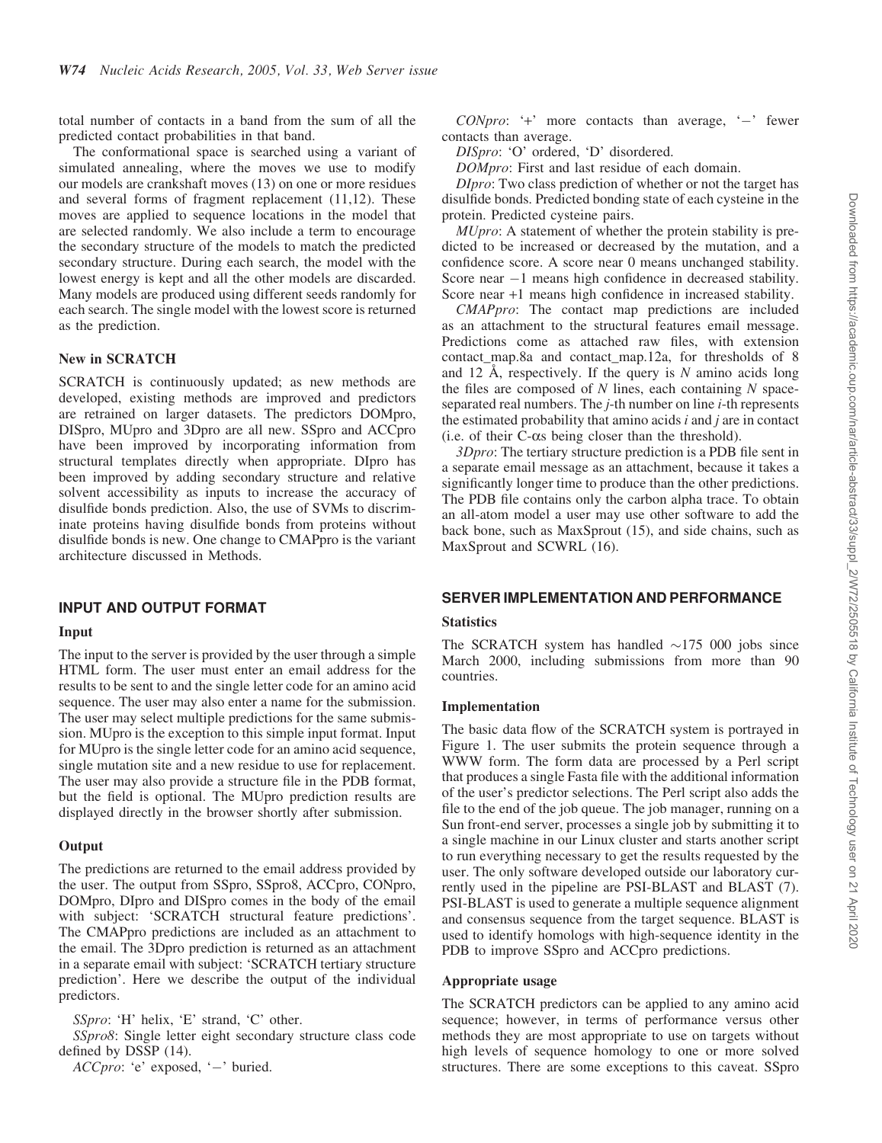total number of contacts in a band from the sum of all the predicted contact probabilities in that band.

The conformational space is searched using a variant of simulated annealing, where the moves we use to modify our models are crankshaft moves (13) on one or more residues and several forms of fragment replacement (11,12). These moves are applied to sequence locations in the model that are selected randomly. We also include a term to encourage the secondary structure of the models to match the predicted secondary structure. During each search, the model with the lowest energy is kept and all the other models are discarded. Many models are produced using different seeds randomly for each search. The single model with the lowest score is returned as the prediction.

### New in SCRATCH

SCRATCH is continuously updated; as new methods are developed, existing methods are improved and predictors are retrained on larger datasets. The predictors DOMpro, DISpro, MUpro and 3Dpro are all new. SSpro and ACCpro have been improved by incorporating information from structural templates directly when appropriate. DIpro has been improved by adding secondary structure and relative solvent accessibility as inputs to increase the accuracy of disulfide bonds prediction. Also, the use of SVMs to discriminate proteins having disulfide bonds from proteins without disulfide bonds is new. One change to CMAPpro is the variant architecture discussed in Methods.

# INPUT AND OUTPUT FORMAT

#### Input

The input to the server is provided by the user through a simple HTML form. The user must enter an email address for the results to be sent to and the single letter code for an amino acid sequence. The user may also enter a name for the submission. The user may select multiple predictions for the same submission. MUpro is the exception to this simple input format. Input for MUpro is the single letter code for an amino acid sequence, single mutation site and a new residue to use for replacement. The user may also provide a structure file in the PDB format, but the field is optional. The MUpro prediction results are displayed directly in the browser shortly after submission.

#### **Output**

The predictions are returned to the email address provided by the user. The output from SSpro, SSpro8, ACCpro, CONpro, DOMpro, DIpro and DISpro comes in the body of the email with subject: 'SCRATCH structural feature predictions'. The CMAPpro predictions are included as an attachment to the email. The 3Dpro prediction is returned as an attachment in a separate email with subject: 'SCRATCH tertiary structure prediction'. Here we describe the output of the individual predictors.

SSpro: 'H' helix, 'E' strand, 'C' other.

SSpro8: Single letter eight secondary structure class code defined by DSSP (14).

ACCpro: 'e' exposed, ' $-$ ' buried.

 $\textit{CONpro:}$  '+' more contacts than average, '-' fewer contacts than average.

DISpro: 'O' ordered, 'D' disordered.

DOMpro: First and last residue of each domain.

DIpro: Two class prediction of whether or not the target has disulfide bonds. Predicted bonding state of each cysteine in the protein. Predicted cysteine pairs.

MUpro: A statement of whether the protein stability is predicted to be increased or decreased by the mutation, and a confidence score. A score near 0 means unchanged stability. Score near  $-1$  means high confidence in decreased stability. Score near +1 means high confidence in increased stability.

CMAPpro: The contact map predictions are included as an attachment to the structural features email message. Predictions come as attached raw files, with extension contact\_map.8a and contact\_map.12a, for thresholds of 8 and 12 Å, respectively. If the query is N amino acids long the files are composed of  $N$  lines, each containing  $N$  spaceseparated real numbers. The *j*-th number on line *i*-th represents the estimated probability that amino acids  $i$  and  $j$  are in contact (i.e. of their  $C$ - $\alpha s$  being closer than the threshold).

3Dpro: The tertiary structure prediction is a PDB file sent in a separate email message as an attachment, because it takes a significantly longer time to produce than the other predictions. The PDB file contains only the carbon alpha trace. To obtain an all-atom model a user may use other software to add the back bone, such as MaxSprout (15), and side chains, such as MaxSprout and SCWRL (16).

### SERVER IMPLEMENTATION AND PERFORMANCE

#### **Statistics**

The SCRATCH system has handled  $\sim$ 175 000 jobs since March 2000, including submissions from more than 90 countries.

#### Implementation

The basic data flow of the SCRATCH system is portrayed in Figure 1. The user submits the protein sequence through a WWW form. The form data are processed by a Perl script that produces a single Fasta file with the additional information of the user's predictor selections. The Perl script also adds the file to the end of the job queue. The job manager, running on a Sun front-end server, processes a single job by submitting it to a single machine in our Linux cluster and starts another script to run everything necessary to get the results requested by the user. The only software developed outside our laboratory currently used in the pipeline are PSI-BLAST and BLAST (7). PSI-BLAST is used to generate a multiple sequence alignment and consensus sequence from the target sequence. BLAST is used to identify homologs with high-sequence identity in the PDB to improve SSpro and ACCpro predictions.

#### Appropriate usage

The SCRATCH predictors can be applied to any amino acid sequence; however, in terms of performance versus other methods they are most appropriate to use on targets without high levels of sequence homology to one or more solved structures. There are some exceptions to this caveat. SSpro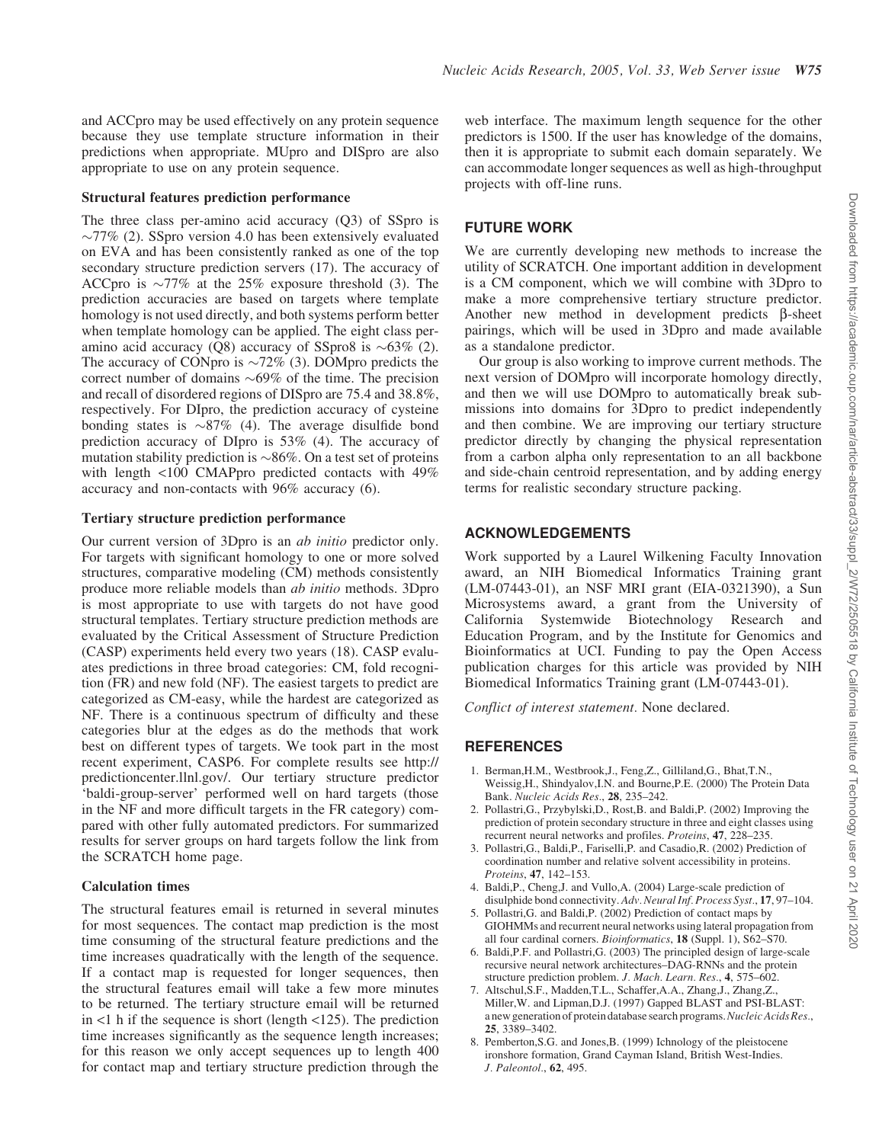and ACCpro may be used effectively on any protein sequence because they use template structure information in their predictions when appropriate. MUpro and DISpro are also appropriate to use on any protein sequence.

# Structural features prediction performance

The three class per-amino acid accuracy (Q3) of SSpro is  $\sim$ 77% (2). SSpro version 4.0 has been extensively evaluated on EVA and has been consistently ranked as one of the top secondary structure prediction servers (17). The accuracy of ACCpro is  $\sim$ 77% at the 25% exposure threshold (3). The prediction accuracies are based on targets where template homology is not used directly, and both systems perform better when template homology can be applied. The eight class peramino acid accuracy (Q8) accuracy of SSpro8 is  $\sim 63\%$  (2). The accuracy of CONpro is  $\sim 72\%$  (3). DOMpro predicts the correct number of domains  $\sim 69\%$  of the time. The precision and recall of disordered regions of DISpro are 75.4 and 38.8%, respectively. For DIpro, the prediction accuracy of cysteine bonding states is  $\sim 87\%$  (4). The average disulfide bond prediction accuracy of DIpro is 53% (4). The accuracy of mutation stability prediction is  $\sim$ 86%. On a test set of proteins with length <100 CMAPpro predicted contacts with 49% accuracy and non-contacts with 96% accuracy (6).

#### Tertiary structure prediction performance

Our current version of 3Dpro is an ab initio predictor only. For targets with significant homology to one or more solved structures, comparative modeling (CM) methods consistently produce more reliable models than ab initio methods. 3Dpro is most appropriate to use with targets do not have good structural templates. Tertiary structure prediction methods are evaluated by the Critical Assessment of Structure Prediction (CASP) experiments held every two years (18). CASP evaluates predictions in three broad categories: CM, fold recognition (FR) and new fold (NF). The easiest targets to predict are categorized as CM-easy, while the hardest are categorized as NF. There is a continuous spectrum of difficulty and these categories blur at the edges as do the methods that work best on different types of targets. We took part in the most recent experiment, CASP6. For complete results see http:// predictioncenter.llnl.gov/. Our tertiary structure predictor 'baldi-group-server' performed well on hard targets (those in the NF and more difficult targets in the FR category) compared with other fully automated predictors. For summarized results for server groups on hard targets follow the link from the SCRATCH home page.

#### Calculation times

The structural features email is returned in several minutes for most sequences. The contact map prediction is the most time consuming of the structural feature predictions and the time increases quadratically with the length of the sequence. If a contact map is requested for longer sequences, then the structural features email will take a few more minutes to be returned. The tertiary structure email will be returned in <1 h if the sequence is short (length <125). The prediction time increases significantly as the sequence length increases; for this reason we only accept sequences up to length 400 for contact map and tertiary structure prediction through the web interface. The maximum length sequence for the other predictors is 1500. If the user has knowledge of the domains, then it is appropriate to submit each domain separately. We can accommodate longer sequences as well as high-throughput projects with off-line runs.

# FUTURE WORK

We are currently developing new methods to increase the utility of SCRATCH. One important addition in development is a CM component, which we will combine with 3Dpro to make a more comprehensive tertiary structure predictor. Another new method in development predicts  $\beta$ -sheet pairings, which will be used in 3Dpro and made available as a standalone predictor.

Our group is also working to improve current methods. The next version of DOMpro will incorporate homology directly, and then we will use DOMpro to automatically break submissions into domains for 3Dpro to predict independently and then combine. We are improving our tertiary structure predictor directly by changing the physical representation from a carbon alpha only representation to an all backbone and side-chain centroid representation, and by adding energy terms for realistic secondary structure packing.

# ACKNOWLEDGEMENTS

Work supported by a Laurel Wilkening Faculty Innovation award, an NIH Biomedical Informatics Training grant (LM-07443-01), an NSF MRI grant (EIA-0321390), a Sun Microsystems award, a grant from the University of California Systemwide Biotechnology Research and Education Program, and by the Institute for Genomics and Bioinformatics at UCI. Funding to pay the Open Access publication charges for this article was provided by NIH Biomedical Informatics Training grant (LM-07443-01).

Conflict of interest statement. None declared.

#### REFERENCES

- 1. Berman,H.M., Westbrook,J., Feng,Z., Gilliland,G., Bhat,T.N., Weissig,H., Shindyalov,I.N. and Bourne,P.E. (2000) The Protein Data Bank. Nucleic Acids Res., 28, 235–242.
- 2. Pollastri,G., Przybylski,D., Rost,B. and Baldi,P. (2002) Improving the prediction of protein secondary structure in three and eight classes using recurrent neural networks and profiles. Proteins, 47, 228–235.
- 3. Pollastri,G., Baldi,P., Fariselli,P. and Casadio,R. (2002) Prediction of coordination number and relative solvent accessibility in proteins. Proteins, 47, 142–153.
- 4. Baldi,P., Cheng,J. and Vullo,A. (2004) Large-scale prediction of disulphide bond connectivity. Adv. Neural Inf. Process Syst., 17, 97-104.
- 5. Pollastri,G. and Baldi,P. (2002) Prediction of contact maps by GIOHMMs and recurrent neural networks using lateral propagation from all four cardinal corners. *Bioinformatics*, **18** (Suppl. 1),  $S62-S70$ .
- 6. Baldi,P.F. and Pollastri,G. (2003) The principled design of large-scale recursive neural network architectures–DAG-RNNs and the protein structure prediction problem. J. Mach. Learn. Res., 4, 575–602.
- 7. Altschul,S.F., Madden,T.L., Schaffer,A.A., Zhang,J., Zhang,Z., Miller,W. and Lipman,D.J. (1997) Gapped BLAST and PSI-BLAST: a new generation of protein database search programs. Nucleic Acids Res., 25, 3389–3402.
- 8. Pemberton,S.G. and Jones,B. (1999) Ichnology of the pleistocene ironshore formation, Grand Cayman Island, British West-Indies. J. Paleontol., 62, 495.